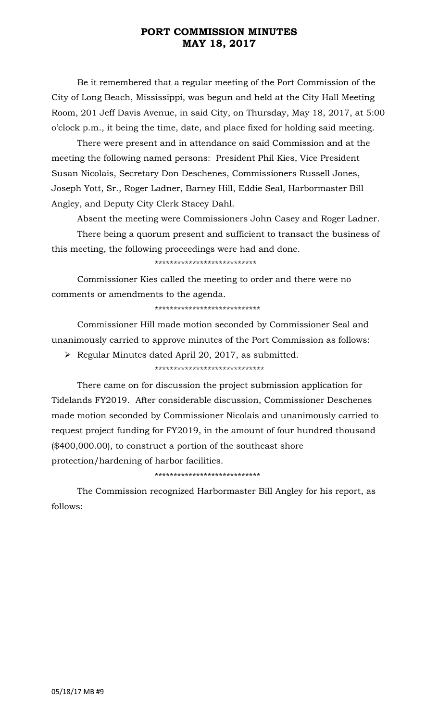## **PORT COMMISSION MINUTES MAY 18, 2017**

Be it remembered that a regular meeting of the Port Commission of the City of Long Beach, Mississippi, was begun and held at the City Hall Meeting Room, 201 Jeff Davis Avenue, in said City, on Thursday, May 18, 2017, at 5:00 o'clock p.m., it being the time, date, and place fixed for holding said meeting.

There were present and in attendance on said Commission and at the meeting the following named persons: President Phil Kies, Vice President Susan Nicolais, Secretary Don Deschenes, Commissioners Russell Jones, Joseph Yott, Sr., Roger Ladner, Barney Hill, Eddie Seal, Harbormaster Bill Angley, and Deputy City Clerk Stacey Dahl.

Absent the meeting were Commissioners John Casey and Roger Ladner.

There being a quorum present and sufficient to transact the business of this meeting, the following proceedings were had and done.

\*\*\*\*\*\*\*\*\*\*\*\*\*\*\*\*\*\*\*\*\*\*\*\*\*\*\*

Commissioner Kies called the meeting to order and there were no comments or amendments to the agenda.

\*\*\*\*\*\*\*\*\*\*\*\*\*\*\*\*\*\*\*\*\*\*\*\*\*\*\*\*

Commissioner Hill made motion seconded by Commissioner Seal and unanimously carried to approve minutes of the Port Commission as follows:

➢ Regular Minutes dated April 20, 2017, as submitted.

\*\*\*\*\*\*\*\*\*\*\*\*\*\*\*\*\*\*\*\*\*\*\*\*\*\*\*\*\*

There came on for discussion the project submission application for Tidelands FY2019. After considerable discussion, Commissioner Deschenes made motion seconded by Commissioner Nicolais and unanimously carried to request project funding for FY2019, in the amount of four hundred thousand (\$400,000.00), to construct a portion of the southeast shore protection/hardening of harbor facilities.

\*\*\*\*\*\*\*\*\*\*\*\*\*\*\*\*\*\*\*\*\*\*\*\*\*\*\*\*

The Commission recognized Harbormaster Bill Angley for his report, as follows: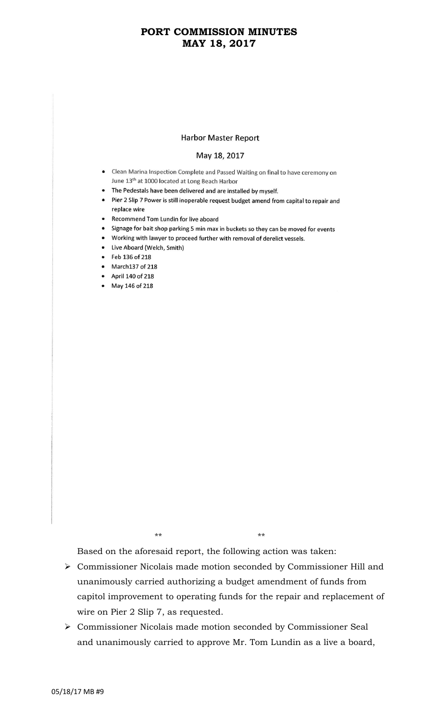## **PORT COMMISSION MINUTES MAY 18, 2017**

### **Harbor Master Report**

#### May 18, 2017

- Clean Marina Inspection Complete and Passed Waiting on final to have ceremony on June 13<sup>th</sup> at 1000 located at Long Beach Harbor
- The Pedestals have been delivered and are installed by myself.
- Pier 2 Slip 7 Power is still inoperable request budget amend from capital to repair and replace wire
- Recommend Tom Lundin for live aboard
- Signage for bait shop parking 5 min max in buckets so they can be moved for events
- Working with lawyer to proceed further with removal of derelict vessels.
- Live Aboard (Welch, Smith)
- Feb 136 of 218
- March137 of 218
- April 140 of 218
- May 146 of 218

\*\* \*\*

Based on the aforesaid report, the following action was taken:

- ➢ Commissioner Nicolais made motion seconded by Commissioner Hill and unanimously carried authorizing a budget amendment of funds from capitol improvement to operating funds for the repair and replacement of wire on Pier 2 Slip 7, as requested.
- ➢ Commissioner Nicolais made motion seconded by Commissioner Seal and unanimously carried to approve Mr. Tom Lundin as a live a board,